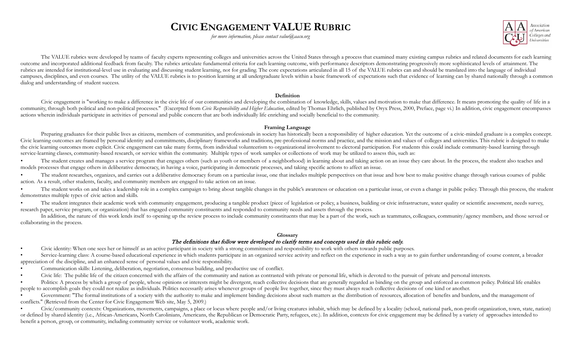# **CIVIC ENGAGEMENT VALUE RUBRIC**

*for more information, please contact value*@aacu.org



The VALUE rubrics were developed by teams of faculty experts representing colleges and universities across the United States through a process that examined many existing campus rubrics and related documents for each learn outcome and incorporated additional feedback from faculty. The rubrics articulate fundamental criteria for each learning outcome, with performance descriptors demonstrating progressively more sophisticated levels of attain rubrics are intended for institutional-level use in evaluating and discussing student learning, not for grading. The core expectations articulated in all 15 of the VALUE rubrics can and should be translated into the langua campuses, disciplines, and even courses. The utility of the VALUE rubrics is to position learning at all undergraduate levels within a basic framework of expectations such that evidence of learning can by shared nationally dialog and understanding of student success.

#### **Definition**

Civic engagement is "working to make a difference in the civic life of our communities and developing the combination of knowledge, skills, values and motivation to make that difference. It means promoting the quality of l community, through both political and non-political processes." (Excerpted from Civic Responsibility and Higher Education, edited by Thomas Ehrlich, published by Oryx Press, 2000, Preface, page vi.) In addition, civic enga actions wherein individuals participate in activities of personal and public concern that are both individually life enriching and socially beneficial to the community.

#### **Framing Language**

Preparing graduates for their public lives as citizens, members of communities, and professionals in society has historically been a responsibility of higher education. Yet the outcome of a civic-minded graduate is a compl Civic learning outcomes are framed by personal identity and commitments, disciplinary frameworks and traditions, pre-professional norms and practice, and the mission and values of colleges and universities. This rubric is the civic learning outcomes more explicit. Civic engagement can take many forms, from individual volunteerism to organizational involvement to electoral participation. For students this could include community-based learni service-learning classes, community-based research, or service within the community. Multiple types of work samples or collections of work may be utilized to assess this, such as:

The student creates and manages a service program that engages others (such as youth or members of a neighborhood) in learning about and taking action on an issue they care about. In the process, the student also teaches a models processes that engage others in deliberative democracy, in having a voice, participating in democratic processes, and taking specific actions to affect an issue.

The student researches, organizes, and carries out a deliberative democracy forum on a particular issue, one that includes multiple perspectives on that issue and how best to make positive change through various courses of action. As a result, other students, faculty, and community members are engaged to take action on an issue.

The student works on and takes a leadership role in a complex campaign to bring about tangible changes in the public's awareness or education on a particular issue, or even a change in public policy. Through this process, demonstrates multiple types of civic action and skills.

The student integrates their academic work with community engagement, producing a tangible product (piece of legislation or policy, a business, building or civic infrastructure, water quality or scientific assessment, need research paper, service program, or organization) that has engaged community constituents and responded to community needs and assets through the process.

In addition, the nature of this work lends itself to opening up the review process to include community constituents that may be a part of the work, such as teammates, colleagues, community/agency members, and those served collaborating in the process.

#### **Glossary**

### The definitions that follow were developed to clarify terms and concepts used in this rubric only.

• Civic identity: When one sees her or himself as an active participant in society with a strong commitment and responsibility to work with others towards public purposes.

Service-learning class: A course-based educational experience in which students participate in an organized service activity and reflect on the experience in such a way as to gain further understanding of course content, a appreciation of the discipline, and an enhanced sense of personal values and civic responsibility.

- Communication skills: Listening, deliberation, negotiation, consensus building, and productive use of conflict.
- Civic life: The public life of the citizen concerned with the affairs of the community and nation as contrasted with private or personal life, which is devoted to the pursuit of private and personal interests.

Politics: A process by which a group of people, whose opinions or interests might be divergent, reach collective decisions that are generally regarded as binding on the group and enforced as common policy. Political life e people to accomplish goals they could not realize as individuals. Politics necessarily arises whenever groups of people live together, since they must always reach collective decisions of one kind or another.

Government: "The formal institutions of a society with the authority to make and implement binding decisions about such matters as the distribution of resources, allocation of benefits and burdens, and the management of conflicts." (Retrieved from the Center for Civic Engagement Web site, May 5, 2009.)

Civic/community contexts: Organizations, movements, campaigns, a place or locus where people and/or living creatures inhabit, which may be defined by a locality (school, national park, non-profit organization, town, state, or defined by shared identity (i.e., African-Americans, North Carolinians, Americans, the Republican or Democratic Party, refugees, etc.). In addition, contexts for civic engagement may be defined by a variety of approache benefit a person, group, or community, including community service or volunteer work, academic work.